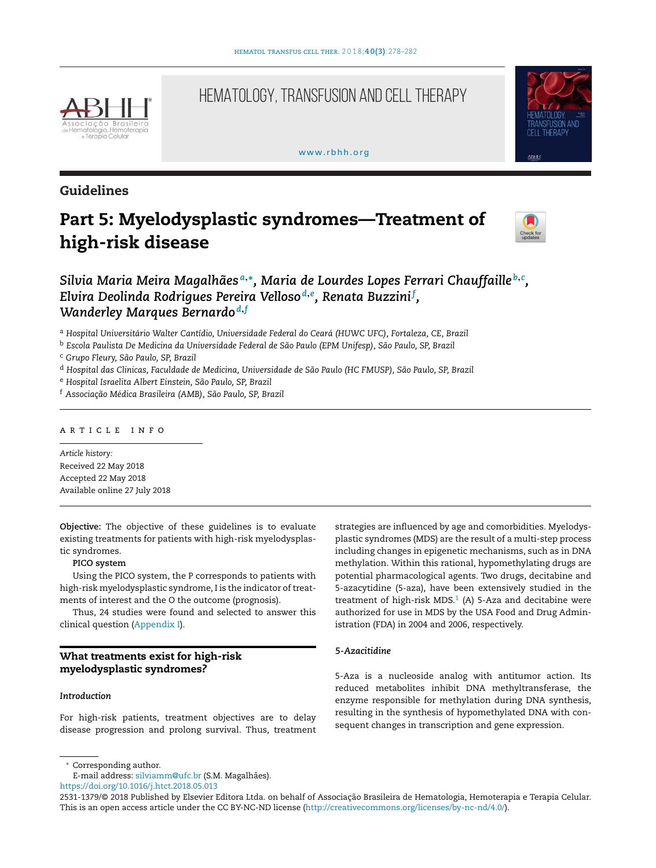

# HEMATOLOGY, TRANSFUSION AND CELL THERAPY

### [www.rbhh.org](http://www.rbhh.org)



## **Guidelines**

# **Part 5: Myelodysplastic syndromes—Treatment of high-risk disease**



## *Silvia Maria Meira Magalhães <sup>a</sup>***,∗***, Maria de Lourdes Lopes Ferrari Chauffaille <sup>b</sup>***,***<sup>c</sup> , Elvira Deolinda Rodrigues Pereira Velloso <sup>d</sup>***,***<sup>e</sup> , Renata Buzzini<sup>f</sup> , Wanderley Marques Bernardo <sup>d</sup>***,***<sup>f</sup>*

<sup>a</sup> *Hospital Universitário Walter Cantídio, Universidade Federal do Ceará (HUWC UFC), Fortaleza, CE, Brazil*

<sup>b</sup> *Escola Paulista De Medicina da Universidade Federal de São Paulo (EPM Unifesp), São Paulo, SP, Brazil*

<sup>c</sup> *Grupo Fleury, São Paulo, SP, Brazil*

- <sup>d</sup> *Hospital das Clinicas, Faculdade de Medicina, Universidade de São Paulo (HC FMUSP), São Paulo, SP, Brazil*
- <sup>e</sup> *Hospital Israelita Albert Einstein, São Paulo, SP, Brazil*
- <sup>f</sup> *Associac¸ão Médica Brasileira (AMB), São Paulo, SP, Brazil*

## a r t i c l e i n f o

*Article history:* Received 22 May 2018 Accepted 22 May 2018 Available online 27 July 2018

**Objective:** The objective of these guidelines is to evaluate existing treatments for patients with high-risk myelodysplastic syndromes.

### **PICO system**

Using the PICO system, the P corresponds to patients with high-risk myelodysplastic syndrome, I is the indicator of treatments of interest and the O the outcome (prognosis).

Thus, 24 studies were found and selected to answer this clinical question ([Appendix](#page-3-0) [I\).](#page-3-0)

## **What treatments exist for high-risk myelodysplastic syndromes?**

## *Introduction*

For high-risk patients, treatment objectives are to delay disease progression and prolong survival. Thus, treatment strategies are influenced by age and comorbidities. Myelodysplastic syndromes (MDS) are the result of a multi-step process including changes in epigenetic mechanisms, such as in DNA methylation. Within this rational, hypomethylating drugs are potential pharmacological agents. Two drugs, decitabine and 5-azacytidine (5-aza), have been extensively studied in the treatment of high-risk MDS. $1$  (A) 5-Aza and decitabine were authorized for use in MDS by the USA Food and Drug Administration (FDA) in 2004 and 2006, respectively.

## *5-Azacitidine*

5-Aza is a nucleoside analog with antitumor action. Its reduced metabolites inhibit DNA methyltransferase, the enzyme responsible for methylation during DNA synthesis, resulting in the synthesis of hypomethylated DNA with consequent changes in transcription and gene expression.

E-mail address: [silviamm@ufc.br](mailto:silviamm@ufc.br) (S.M. Magalhães).

<https://doi.org/10.1016/j.htct.2018.05.013>

<sup>∗</sup> Corresponding author.

<sup>2531-1379/© 2018</sup> Published by Elsevier Editora Ltda. on behalf of Associação Brasileira de Hematologia, Hemoterapia e Terapia Celular. This is an open access article under the CC BY-NC-ND license ([http://creativecommons.org/licenses/by-nc-nd/4.0/\)](http://creativecommons.org/licenses/by-nc-nd/4.0/).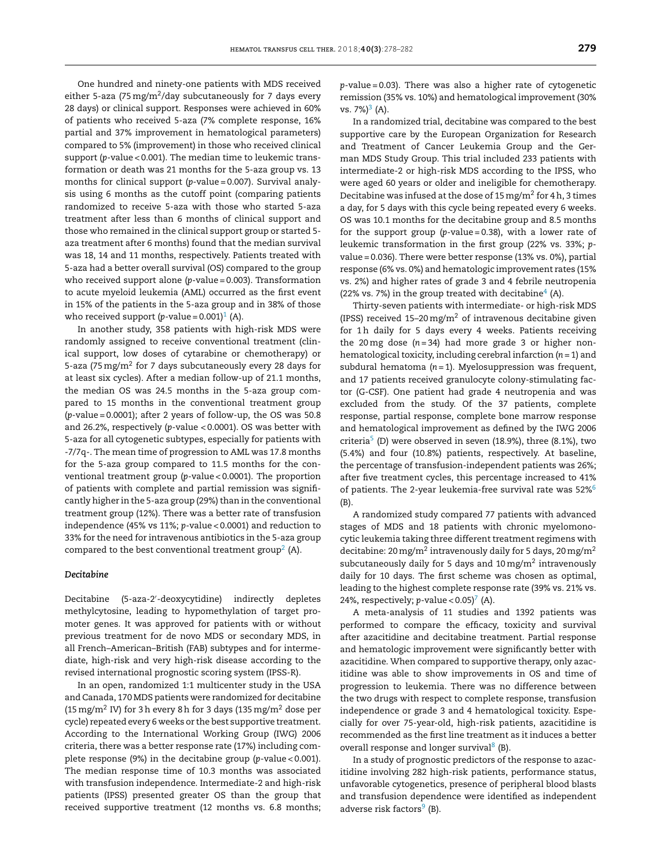One hundred and ninety-one patients with MDS received either 5-aza (75 mg/m<sup>2</sup>/day subcutaneously for 7 days every 28 days) or clinical support. Responses were achieved in 60% of patients who received 5-aza (7% complete response, 16% partial and 37% improvement in hematological parameters) compared to 5% (improvement) in those who received clinical support (*p*-value < 0.001). The median time to leukemic transformation or death was 21 months for the 5-aza group vs. 13 months for clinical support (*p*-value = 0.007). Survival analysis using 6 months as the cutoff point (comparing patients randomized to receive 5-aza with those who started 5-aza treatment after less than 6 months of clinical support and those who remained in the clinical support group or started 5 aza treatment after 6 months) found that the median survival was 18, 14 and 11 months, respectively. Patients treated with 5-aza had a better overall survival (OS) compared to the group who received support alone (*p*-value = 0.003). Transformation to acute myeloid leukemia (AML) occurred as the first event in 15% of the patients in the 5-aza group and in 38% of those who received support  $(p$ -value = 0.00[1](#page-3-0))<sup>1</sup> (A).

In another study, 358 patients with high-risk MDS were randomly assigned to receive conventional treatment (clinical support, low doses of cytarabine or chemotherapy) or 5-aza (75 mg/ $m^2$  for 7 days subcutaneously every 28 days for at least six cycles). After a median follow-up of 21.1 months, the median OS was 24.5 months in the 5-aza group compared to 15 months in the conventional treatment group (*p*-value = 0.0001); after 2 years of follow-up, the OS was 50.8 and 26.2%, respectively (*p*-value < 0.0001). OS was better with 5-aza for all cytogenetic subtypes, especially for patients with -7/7q-. The mean time of progression to AML was 17.8 months for the 5-aza group compared to 11.5 months for the conventional treatment group (*p*-value < 0.0001). The proportion of patients with complete and partial remission was significantly higher in the 5-aza group (29%) than in the conventional treatment group (12%). There was a better rate of transfusion independence (45% vs 11%; *p*-value < 0.0001) and reduction to 33% for the need for intravenous antibiotics in the 5-aza group compared to the best conventional treatment group<sup>2</sup> (A).

### *Decitabine*

Decitabine (5-aza-2 -deoxycytidine) indirectly depletes methylcytosine, leading to hypomethylation of target promoter genes. It was approved for patients with or without previous treatment for de novo MDS or secondary MDS, in all French–American–British (FAB) subtypes and for intermediate, high-risk and very high-risk disease according to the revised international prognostic scoring system (IPSS-R).

In an open, randomized 1:1 multicenter study in the USA and Canada, 170 MDS patients were randomized for decitabine (15 mg/m<sup>2</sup> IV) for 3 h every 8 h for 3 days (135 mg/m<sup>2</sup> dose per cycle) repeated every 6 weeks or the best supportive treatment. According to the International Working Group (IWG) 2006 criteria, there was a better response rate (17%) including complete response (9%) in the decitabine group (*p*-value < 0.001). The median response time of 10.3 months was associated with transfusion independence. Intermediate-2 and high-risk patients (IPSS) presented greater OS than the group that received supportive treatment (12 months vs. 6.8 months; *p*-value = 0.03). There was also a higher rate of cytogenetic remission (35% vs. 10%) and hematological improvement (30% vs. 7% $3^3$  $3^3$  (A).

In a randomized trial, decitabine was compared to the best supportive care by the European Organization for Research and Treatment of Cancer Leukemia Group and the German MDS Study Group. This trial included 233 patients with intermediate-2 or high-risk MDS according to the IPSS, who were aged 60 years or older and ineligible for chemotherapy. Decitabine was infused at the dose of 15 mg/m<sup>2</sup> for 4h, 3 times a day, for 5 days with this cycle being repeated every 6 weeks. OS was 10.1 months for the decitabine group and 8.5 months for the support group (*p*-value = 0.38), with a lower rate of leukemic transformation in the first group (22% vs. 33%; *p*value = 0.036). There were better response (13% vs. 0%), partial response (6% vs. 0%) and hematologic improvement rates (15% vs. 2%) and higher rates of grade 3 and 4 febrile neutropenia (22% vs. 7%) in the group treated with decitabine<sup>[4](#page-3-0)</sup> (A).

Thirty-seven patients with intermediate- or high-risk MDS (IPSS) received  $15-20 \,\mathrm{mg/m^2}$  of intravenous decitabine given for 1h daily for 5 days every 4 weeks. Patients receiving the 20 mg dose  $(n=34)$  had more grade 3 or higher nonhematological toxicity, including cerebral infarction (*n* = 1) and subdural hematoma (*n* = 1). Myelosuppression was frequent, and 17 patients received granulocyte colony-stimulating factor (G-CSF). One patient had grade 4 neutropenia and was excluded from the study. Of the 37 patients, complete response, partial response, complete bone marrow response and hematological improvement as defined by the IWG 2006 criteria<sup>5</sup> (D) were observed in seven (18.9%), three (8.1%), two (5.4%) and four (10.8%) patients, respectively. At baseline, the percentage of transfusion-independent patients was 26%; after five treatment cycles, this percentage increased to 41% of patients. The 2-year leukemia-free survival rate was 52%<sup>6</sup> (B).

A randomized study compared 77 patients with advanced stages of MDS and 18 patients with chronic myelomonocytic leukemia taking three different treatment regimens with decitabine: 20 mg/m<sup>2</sup> intravenously daily for 5 days, 20 mg/m<sup>2</sup> subcutaneously daily for 5 days and  $10 \,\mathrm{mg/m^2}$  intravenously daily for 10 days. The first scheme was chosen as optimal, leading to the highest complete response rate (39% vs. 21% vs. 24%, respectively;  $p$ -value < 0.05)<sup>7</sup> (A).

A meta-analysis of 11 studies and 1392 patients was performed to compare the efficacy, toxicity and survival after azacitidine and decitabine treatment. Partial response and hematologic improvement were significantly better with azacitidine. When compared to supportive therapy, only azacitidine was able to show improvements in OS and time of progression to leukemia. There was no difference between the two drugs with respect to complete response, transfusion independence or grade 3 and 4 hematological toxicity. Especially for over 75-year-old, high-risk patients, azacitidine is recommended as the first line treatment as it induces a better overall response and longer survival<sup>8</sup> (B).

In a study of prognostic predictors of the response to azacitidine involving 282 high-risk patients, performance status, unfavorable cytogenetics, presence of peripheral blood blasts and transfusion dependence were identified as independent adverse risk factors $9$  (B).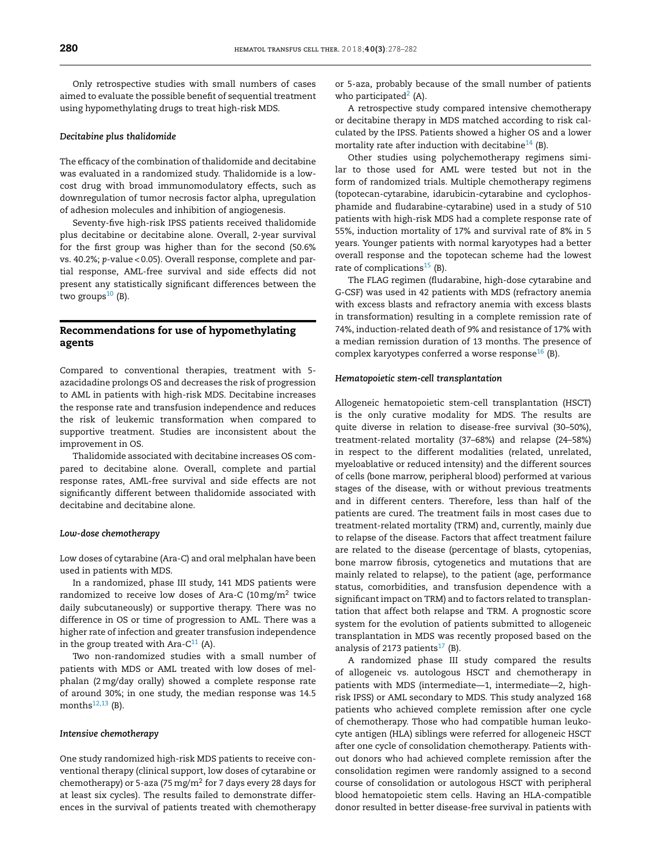Only retrospective studies with small numbers of cases aimed to evaluate the possible benefit of sequential treatment using hypomethylating drugs to treat high-risk MDS.

### *Decitabine plus thalidomide*

The efficacy of the combination of thalidomide and decitabine was evaluated in a randomized study. Thalidomide is a lowcost drug with broad immunomodulatory effects, such as downregulation of tumor necrosis factor alpha, upregulation of adhesion molecules and inhibition of angiogenesis.

Seventy-five high-risk IPSS patients received thalidomide plus decitabine or decitabine alone. Overall, 2-year survival for the first group was higher than for the second (50.6% vs. 40.2%; *p*-value < 0.05). Overall response, complete and partial response, AML-free survival and side effects did not present any statistically significant differences between the two groups $10$  (B).

## **Recommendations for use of hypomethylating agents**

Compared to conventional therapies, treatment with 5 azacidadine prolongs OS and decreases the risk of progression to AML in patients with high-risk MDS. Decitabine increases the response rate and transfusion independence and reduces the risk of leukemic transformation when compared to supportive treatment. Studies are inconsistent about the improvement in OS.

Thalidomide associated with decitabine increases OS compared to decitabine alone. Overall, complete and partial response rates, AML-free survival and side effects are not significantly different between thalidomide associated with decitabine and decitabine alone.

#### *Low-dose chemotherapy*

Low doses of cytarabine (Ara-C) and oral melphalan have been used in patients with MDS.

In a randomized, phase III study, 141 MDS patients were randomized to receive low doses of Ara-C  $(10 \,\mathrm{mg/m^2})$  twice daily subcutaneously) or supportive therapy. There was no difference in OS or time of progression to AML. There was a higher rate of infection and greater transfusion independence in the group treated with Ara- $C^{11}$  (A).

Two non-randomized studies with a small number of patients with MDS or AML treated with low doses of melphalan (2mg/day orally) showed a complete response rate of around 30%; in one study, the median response was 14.5 months $12,13$  (B).

#### *Intensive chemotherapy*

One study randomized high-risk MDS patients to receive conventional therapy (clinical support, low doses of cytarabine or chemotherapy) or 5-aza (75 mg/m<sup>2</sup> for 7 days every 28 days for at least six cycles). The results failed to demonstrate differences in the survival of patients treated with chemotherapy or 5-aza, probably because of the small number of patients who participated $2(A)$  $2(A)$ .

A retrospective study compared intensive chemotherapy or decitabine therapy in MDS matched according to risk calculated by the IPSS. Patients showed a higher OS and a lower mortality rate after induction with decitabine<sup>14</sup> (B).

Other studies using polychemotherapy regimens similar to those used for AML were tested but not in the form of randomized trials. Multiple chemotherapy regimens (topotecan-cytarabine, idarubicin-cytarabine and cyclophosphamide and fludarabine-cytarabine) used in a study of 510 patients with high-risk MDS had a complete response rate of 55%, induction mortality of 17% and survival rate of 8% in 5 years. Younger patients with normal karyotypes had a better overall response and the topotecan scheme had the lowest rate of complications<sup>15</sup> (B).

The FLAG regimen (fludarabine, high-dose cytarabine and G-CSF) was used in 42 patients with MDS (refractory anemia with excess blasts and refractory anemia with excess blasts in transformation) resulting in a complete remission rate of 74%, induction-related death of 9% and resistance of 17% with a median remission duration of 13 months. The presence of complex karyotypes conferred a worse response $^{16}$  $^{16}$  $^{16}$  (B).

#### *Hematopoietic stem-cell transplantation*

Allogeneic hematopoietic stem-cell transplantation (HSCT) is the only curative modality for MDS. The results are quite diverse in relation to disease-free survival (30–50%), treatment-related mortality (37–68%) and relapse (24–58%) in respect to the different modalities (related, unrelated, myeloablative or reduced intensity) and the different sources of cells (bone marrow, peripheral blood) performed at various stages of the disease, with or without previous treatments and in different centers. Therefore, less than half of the patients are cured. The treatment fails in most cases due to treatment-related mortality (TRM) and, currently, mainly due to relapse of the disease. Factors that affect treatment failure are related to the disease (percentage of blasts, cytopenias, bone marrow fibrosis, cytogenetics and mutations that are mainly related to relapse), to the patient (age, performance status, comorbidities, and transfusion dependence with a significant impact on TRM) and to factors related to transplantation that affect both relapse and TRM. A prognostic score system for the evolution of patients submitted to allogeneic transplantation in MDS was recently proposed based on the analysis of 2173 patients $17$  (B).

A randomized phase III study compared the results of allogeneic vs. autologous HSCT and chemotherapy in patients with MDS (intermediate—1, intermediate—2, highrisk IPSS) or AML secondary to MDS. This study analyzed 168 patients who achieved complete remission after one cycle of chemotherapy. Those who had compatible human leukocyte antigen (HLA) siblings were referred for allogeneic HSCT after one cycle of consolidation chemotherapy. Patients without donors who had achieved complete remission after the consolidation regimen were randomly assigned to a second course of consolidation or autologous HSCT with peripheral blood hematopoietic stem cells. Having an HLA-compatible donor resulted in better disease-free survival in patients with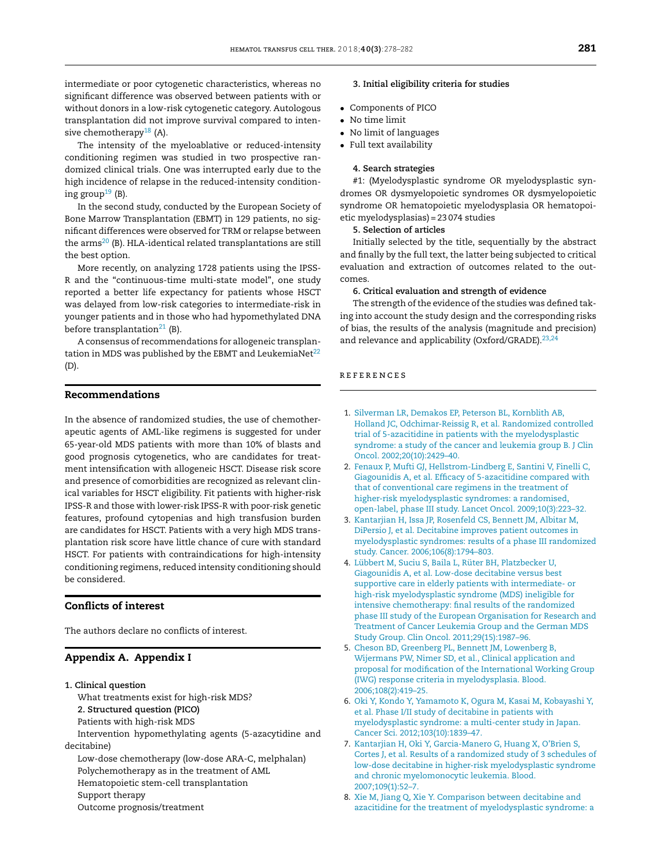<span id="page-3-0"></span>intermediate or poor cytogenetic characteristics, whereas no significant difference was observed between patients with or without donors in a low-risk cytogenetic category. Autologous transplantation did not improve survival compared to inten-sive chemotherapy<sup>[18](#page-4-0)</sup> (A).

The intensity of the myeloablative or reduced-intensity conditioning regimen was studied in two prospective randomized clinical trials. One was interrupted early due to the high incidence of relapse in the reduced-intensity conditioning group<sup>19</sup> (B).

In the second study, conducted by the European Society of Bone Marrow Transplantation (EBMT) in 129 patients, no significant differences were observed for TRM or relapse between the  $\arms^{20}$  $\arms^{20}$  $\arms^{20}$  (B). HLA-identical related transplantations are still the best option.

More recently, on analyzing 1728 patients using the IPSS-R and the "continuous-time multi-state model", one study reported a better life expectancy for patients whose HSCT was delayed from low-risk categories to intermediate-risk in younger patients and in those who had hypomethylated DNA before transplantation<sup>[21](#page-4-0)</sup> (B).

A consensus of recommendations for allogeneic transplantation in MDS was published by the EBMT and LeukemiaNet $^{22}$  $^{22}$  $^{22}$ (D).

## **Recommendations**

In the absence of randomized studies, the use of chemotherapeutic agents of AML-like regimens is suggested for under 65-year-old MDS patients with more than 10% of blasts and good prognosis cytogenetics, who are candidates for treatment intensification with allogeneic HSCT. Disease risk score and presence of comorbidities are recognized as relevant clinical variables for HSCT eligibility. Fit patients with higher-risk IPSS-R and those with lower-risk IPSS-R with poor-risk genetic features, profound cytopenias and high transfusion burden are candidates for HSCT. Patients with a very high MDS transplantation risk score have little chance of cure with standard HSCT. For patients with contraindications for high-intensity conditioning regimens, reduced intensity conditioning should be considered.

## **Conflicts of interest**

The authors declare no conflicts of interest.

### **Appendix A. Appendix I**

- **1. Clinical question** What treatments exist for high-risk MDS? **2. Structured question (PICO)** Patients with high-risk MDS Intervention hypomethylating agents (5-azacytidine and decitabine) Low-dose chemotherapy (low-dose ARA-C, melphalan) Polychemotherapy as in the treatment of AML Hematopoietic stem-cell transplantation Support therapy
	- Outcome prognosis/treatment

## **3. Initial eligibility criteria for studies**

- Components of PICO
- No time limit
- No limit of languages
- Full text availability

#### **4. Search strategies**

#1: (Myelodysplastic syndrome OR myelodysplastic syndromes OR dysmyelopoietic syndromes OR dysmyelopoietic syndrome OR hematopoietic myelodysplasia OR hematopoietic myelodysplasias) = 23 074 studies

**5. Selection of articles**

Initially selected by the title, sequentially by the abstract and finally by the full text, the latter being subjected to critical evaluation and extraction of outcomes related to the outcomes.

#### **6. Critical evaluation and strength of evidence**

The strength of the evidence of the studies was defined taking into account the study design and the corresponding risks of bias, the results of the analysis (magnitude and precision) and relevance and applicability (Oxford/GRADE).<sup>[23,24](#page-4-0)</sup>

## r e f e r enc e s

- 1. [Silverman](http://refhub.elsevier.com/S2531-1379(18)30109-3/sbref0125) [LR,](http://refhub.elsevier.com/S2531-1379(18)30109-3/sbref0125) [Demakos](http://refhub.elsevier.com/S2531-1379(18)30109-3/sbref0125) [EP,](http://refhub.elsevier.com/S2531-1379(18)30109-3/sbref0125) [Peterson](http://refhub.elsevier.com/S2531-1379(18)30109-3/sbref0125) [BL,](http://refhub.elsevier.com/S2531-1379(18)30109-3/sbref0125) [Kornblith](http://refhub.elsevier.com/S2531-1379(18)30109-3/sbref0125) [AB,](http://refhub.elsevier.com/S2531-1379(18)30109-3/sbref0125) [Holland](http://refhub.elsevier.com/S2531-1379(18)30109-3/sbref0125) [JC,](http://refhub.elsevier.com/S2531-1379(18)30109-3/sbref0125) [Odchimar-Reissig](http://refhub.elsevier.com/S2531-1379(18)30109-3/sbref0125) [R,](http://refhub.elsevier.com/S2531-1379(18)30109-3/sbref0125) [et](http://refhub.elsevier.com/S2531-1379(18)30109-3/sbref0125) [al.](http://refhub.elsevier.com/S2531-1379(18)30109-3/sbref0125) [Randomized](http://refhub.elsevier.com/S2531-1379(18)30109-3/sbref0125) [controlled](http://refhub.elsevier.com/S2531-1379(18)30109-3/sbref0125) [trial](http://refhub.elsevier.com/S2531-1379(18)30109-3/sbref0125) [of](http://refhub.elsevier.com/S2531-1379(18)30109-3/sbref0125) [5-azacitidine](http://refhub.elsevier.com/S2531-1379(18)30109-3/sbref0125) [in](http://refhub.elsevier.com/S2531-1379(18)30109-3/sbref0125) [patients](http://refhub.elsevier.com/S2531-1379(18)30109-3/sbref0125) [with](http://refhub.elsevier.com/S2531-1379(18)30109-3/sbref0125) [the](http://refhub.elsevier.com/S2531-1379(18)30109-3/sbref0125) [myelodysplastic](http://refhub.elsevier.com/S2531-1379(18)30109-3/sbref0125) [syndrome:](http://refhub.elsevier.com/S2531-1379(18)30109-3/sbref0125) [a](http://refhub.elsevier.com/S2531-1379(18)30109-3/sbref0125) [study](http://refhub.elsevier.com/S2531-1379(18)30109-3/sbref0125) [of](http://refhub.elsevier.com/S2531-1379(18)30109-3/sbref0125) [the](http://refhub.elsevier.com/S2531-1379(18)30109-3/sbref0125) [cancer](http://refhub.elsevier.com/S2531-1379(18)30109-3/sbref0125) [and](http://refhub.elsevier.com/S2531-1379(18)30109-3/sbref0125) [leukemia](http://refhub.elsevier.com/S2531-1379(18)30109-3/sbref0125) [group](http://refhub.elsevier.com/S2531-1379(18)30109-3/sbref0125) [B.](http://refhub.elsevier.com/S2531-1379(18)30109-3/sbref0125) [J](http://refhub.elsevier.com/S2531-1379(18)30109-3/sbref0125) [Clin](http://refhub.elsevier.com/S2531-1379(18)30109-3/sbref0125) [Oncol.](http://refhub.elsevier.com/S2531-1379(18)30109-3/sbref0125) [2002;20\(10\):2429–40.](http://refhub.elsevier.com/S2531-1379(18)30109-3/sbref0125)
- 2. [Fenaux](http://refhub.elsevier.com/S2531-1379(18)30109-3/sbref0130) [P,](http://refhub.elsevier.com/S2531-1379(18)30109-3/sbref0130) [Mufti](http://refhub.elsevier.com/S2531-1379(18)30109-3/sbref0130) [GJ,](http://refhub.elsevier.com/S2531-1379(18)30109-3/sbref0130) [Hellstrom-Lindberg](http://refhub.elsevier.com/S2531-1379(18)30109-3/sbref0130) [E,](http://refhub.elsevier.com/S2531-1379(18)30109-3/sbref0130) [Santini](http://refhub.elsevier.com/S2531-1379(18)30109-3/sbref0130) [V,](http://refhub.elsevier.com/S2531-1379(18)30109-3/sbref0130) [Finelli](http://refhub.elsevier.com/S2531-1379(18)30109-3/sbref0130) [C,](http://refhub.elsevier.com/S2531-1379(18)30109-3/sbref0130) [Giagounidis](http://refhub.elsevier.com/S2531-1379(18)30109-3/sbref0130) [A,](http://refhub.elsevier.com/S2531-1379(18)30109-3/sbref0130) [et](http://refhub.elsevier.com/S2531-1379(18)30109-3/sbref0130) [al.](http://refhub.elsevier.com/S2531-1379(18)30109-3/sbref0130) [Efficacy](http://refhub.elsevier.com/S2531-1379(18)30109-3/sbref0130) [of](http://refhub.elsevier.com/S2531-1379(18)30109-3/sbref0130) [5-azacitidine](http://refhub.elsevier.com/S2531-1379(18)30109-3/sbref0130) [compared](http://refhub.elsevier.com/S2531-1379(18)30109-3/sbref0130) [with](http://refhub.elsevier.com/S2531-1379(18)30109-3/sbref0130) [that](http://refhub.elsevier.com/S2531-1379(18)30109-3/sbref0130) [of](http://refhub.elsevier.com/S2531-1379(18)30109-3/sbref0130) [conventional](http://refhub.elsevier.com/S2531-1379(18)30109-3/sbref0130) [care](http://refhub.elsevier.com/S2531-1379(18)30109-3/sbref0130) [regimens](http://refhub.elsevier.com/S2531-1379(18)30109-3/sbref0130) [in](http://refhub.elsevier.com/S2531-1379(18)30109-3/sbref0130) [the](http://refhub.elsevier.com/S2531-1379(18)30109-3/sbref0130) [treatment](http://refhub.elsevier.com/S2531-1379(18)30109-3/sbref0130) [of](http://refhub.elsevier.com/S2531-1379(18)30109-3/sbref0130) [higher-risk](http://refhub.elsevier.com/S2531-1379(18)30109-3/sbref0130) [myelodysplastic](http://refhub.elsevier.com/S2531-1379(18)30109-3/sbref0130) [syndromes:](http://refhub.elsevier.com/S2531-1379(18)30109-3/sbref0130) [a](http://refhub.elsevier.com/S2531-1379(18)30109-3/sbref0130) [randomised,](http://refhub.elsevier.com/S2531-1379(18)30109-3/sbref0130) [open-label,](http://refhub.elsevier.com/S2531-1379(18)30109-3/sbref0130) [phase](http://refhub.elsevier.com/S2531-1379(18)30109-3/sbref0130) [III](http://refhub.elsevier.com/S2531-1379(18)30109-3/sbref0130) [study.](http://refhub.elsevier.com/S2531-1379(18)30109-3/sbref0130) [Lancet](http://refhub.elsevier.com/S2531-1379(18)30109-3/sbref0130) [Oncol.](http://refhub.elsevier.com/S2531-1379(18)30109-3/sbref0130) [2009;10\(3\):223](http://refhub.elsevier.com/S2531-1379(18)30109-3/sbref0130)–[32.](http://refhub.elsevier.com/S2531-1379(18)30109-3/sbref0130)
- 3. [Kantarjian](http://refhub.elsevier.com/S2531-1379(18)30109-3/sbref0135) [H,](http://refhub.elsevier.com/S2531-1379(18)30109-3/sbref0135) [Issa](http://refhub.elsevier.com/S2531-1379(18)30109-3/sbref0135) [JP,](http://refhub.elsevier.com/S2531-1379(18)30109-3/sbref0135) [Rosenfeld](http://refhub.elsevier.com/S2531-1379(18)30109-3/sbref0135) [CS,](http://refhub.elsevier.com/S2531-1379(18)30109-3/sbref0135) [Bennett](http://refhub.elsevier.com/S2531-1379(18)30109-3/sbref0135) [JM,](http://refhub.elsevier.com/S2531-1379(18)30109-3/sbref0135) [Albitar](http://refhub.elsevier.com/S2531-1379(18)30109-3/sbref0135) [M,](http://refhub.elsevier.com/S2531-1379(18)30109-3/sbref0135) [DiPersio](http://refhub.elsevier.com/S2531-1379(18)30109-3/sbref0135) [J,](http://refhub.elsevier.com/S2531-1379(18)30109-3/sbref0135) [et](http://refhub.elsevier.com/S2531-1379(18)30109-3/sbref0135) [al.](http://refhub.elsevier.com/S2531-1379(18)30109-3/sbref0135) [Decitabine](http://refhub.elsevier.com/S2531-1379(18)30109-3/sbref0135) [improves](http://refhub.elsevier.com/S2531-1379(18)30109-3/sbref0135) [patient](http://refhub.elsevier.com/S2531-1379(18)30109-3/sbref0135) [outcomes](http://refhub.elsevier.com/S2531-1379(18)30109-3/sbref0135) [in](http://refhub.elsevier.com/S2531-1379(18)30109-3/sbref0135) [myelodysplastic](http://refhub.elsevier.com/S2531-1379(18)30109-3/sbref0135) [syndromes:](http://refhub.elsevier.com/S2531-1379(18)30109-3/sbref0135) [results](http://refhub.elsevier.com/S2531-1379(18)30109-3/sbref0135) [of](http://refhub.elsevier.com/S2531-1379(18)30109-3/sbref0135) [a](http://refhub.elsevier.com/S2531-1379(18)30109-3/sbref0135) [phase](http://refhub.elsevier.com/S2531-1379(18)30109-3/sbref0135) [III](http://refhub.elsevier.com/S2531-1379(18)30109-3/sbref0135) [randomized](http://refhub.elsevier.com/S2531-1379(18)30109-3/sbref0135) [study.](http://refhub.elsevier.com/S2531-1379(18)30109-3/sbref0135) [Cancer.](http://refhub.elsevier.com/S2531-1379(18)30109-3/sbref0135) [2006;106\(8\):1794](http://refhub.elsevier.com/S2531-1379(18)30109-3/sbref0135)–[803.](http://refhub.elsevier.com/S2531-1379(18)30109-3/sbref0135)
- 4. [Lübbert](http://refhub.elsevier.com/S2531-1379(18)30109-3/sbref0140) [M,](http://refhub.elsevier.com/S2531-1379(18)30109-3/sbref0140) [Suciu](http://refhub.elsevier.com/S2531-1379(18)30109-3/sbref0140) [S,](http://refhub.elsevier.com/S2531-1379(18)30109-3/sbref0140) [Baila](http://refhub.elsevier.com/S2531-1379(18)30109-3/sbref0140) [L,](http://refhub.elsevier.com/S2531-1379(18)30109-3/sbref0140) [Rüter](http://refhub.elsevier.com/S2531-1379(18)30109-3/sbref0140) [BH,](http://refhub.elsevier.com/S2531-1379(18)30109-3/sbref0140) [Platzbecker](http://refhub.elsevier.com/S2531-1379(18)30109-3/sbref0140) [U,](http://refhub.elsevier.com/S2531-1379(18)30109-3/sbref0140) [Giagounidis](http://refhub.elsevier.com/S2531-1379(18)30109-3/sbref0140) [A,](http://refhub.elsevier.com/S2531-1379(18)30109-3/sbref0140) [et](http://refhub.elsevier.com/S2531-1379(18)30109-3/sbref0140) [al.](http://refhub.elsevier.com/S2531-1379(18)30109-3/sbref0140) [Low-dose](http://refhub.elsevier.com/S2531-1379(18)30109-3/sbref0140) [decitabine](http://refhub.elsevier.com/S2531-1379(18)30109-3/sbref0140) [versus](http://refhub.elsevier.com/S2531-1379(18)30109-3/sbref0140) [best](http://refhub.elsevier.com/S2531-1379(18)30109-3/sbref0140) [supportive](http://refhub.elsevier.com/S2531-1379(18)30109-3/sbref0140) [care](http://refhub.elsevier.com/S2531-1379(18)30109-3/sbref0140) [in](http://refhub.elsevier.com/S2531-1379(18)30109-3/sbref0140) [elderly](http://refhub.elsevier.com/S2531-1379(18)30109-3/sbref0140) [patients](http://refhub.elsevier.com/S2531-1379(18)30109-3/sbref0140) [with](http://refhub.elsevier.com/S2531-1379(18)30109-3/sbref0140) [intermediate-](http://refhub.elsevier.com/S2531-1379(18)30109-3/sbref0140) [or](http://refhub.elsevier.com/S2531-1379(18)30109-3/sbref0140) [high-risk](http://refhub.elsevier.com/S2531-1379(18)30109-3/sbref0140) [myelodysplastic](http://refhub.elsevier.com/S2531-1379(18)30109-3/sbref0140) [syndrome](http://refhub.elsevier.com/S2531-1379(18)30109-3/sbref0140) [\(MDS\)](http://refhub.elsevier.com/S2531-1379(18)30109-3/sbref0140) [ineligible](http://refhub.elsevier.com/S2531-1379(18)30109-3/sbref0140) [for](http://refhub.elsevier.com/S2531-1379(18)30109-3/sbref0140) [intensive](http://refhub.elsevier.com/S2531-1379(18)30109-3/sbref0140) [chemotherapy:](http://refhub.elsevier.com/S2531-1379(18)30109-3/sbref0140) [final](http://refhub.elsevier.com/S2531-1379(18)30109-3/sbref0140) [results](http://refhub.elsevier.com/S2531-1379(18)30109-3/sbref0140) [of](http://refhub.elsevier.com/S2531-1379(18)30109-3/sbref0140) [the](http://refhub.elsevier.com/S2531-1379(18)30109-3/sbref0140) [randomized](http://refhub.elsevier.com/S2531-1379(18)30109-3/sbref0140) [phase](http://refhub.elsevier.com/S2531-1379(18)30109-3/sbref0140) [III](http://refhub.elsevier.com/S2531-1379(18)30109-3/sbref0140) [study](http://refhub.elsevier.com/S2531-1379(18)30109-3/sbref0140) [of](http://refhub.elsevier.com/S2531-1379(18)30109-3/sbref0140) [the](http://refhub.elsevier.com/S2531-1379(18)30109-3/sbref0140) [European](http://refhub.elsevier.com/S2531-1379(18)30109-3/sbref0140) [Organisation](http://refhub.elsevier.com/S2531-1379(18)30109-3/sbref0140) [for](http://refhub.elsevier.com/S2531-1379(18)30109-3/sbref0140) [Research](http://refhub.elsevier.com/S2531-1379(18)30109-3/sbref0140) [and](http://refhub.elsevier.com/S2531-1379(18)30109-3/sbref0140) [Treatment](http://refhub.elsevier.com/S2531-1379(18)30109-3/sbref0140) [of](http://refhub.elsevier.com/S2531-1379(18)30109-3/sbref0140) [Cancer](http://refhub.elsevier.com/S2531-1379(18)30109-3/sbref0140) [Leukemia](http://refhub.elsevier.com/S2531-1379(18)30109-3/sbref0140) [Group](http://refhub.elsevier.com/S2531-1379(18)30109-3/sbref0140) [and](http://refhub.elsevier.com/S2531-1379(18)30109-3/sbref0140) [the](http://refhub.elsevier.com/S2531-1379(18)30109-3/sbref0140) [German](http://refhub.elsevier.com/S2531-1379(18)30109-3/sbref0140) [MDS](http://refhub.elsevier.com/S2531-1379(18)30109-3/sbref0140) [Study](http://refhub.elsevier.com/S2531-1379(18)30109-3/sbref0140) [Group.](http://refhub.elsevier.com/S2531-1379(18)30109-3/sbref0140) [Clin](http://refhub.elsevier.com/S2531-1379(18)30109-3/sbref0140) [Oncol.](http://refhub.elsevier.com/S2531-1379(18)30109-3/sbref0140) [2011;29\(15\):1987–96.](http://refhub.elsevier.com/S2531-1379(18)30109-3/sbref0140)
- 5. [Cheson](http://refhub.elsevier.com/S2531-1379(18)30109-3/sbref0145) [BD,](http://refhub.elsevier.com/S2531-1379(18)30109-3/sbref0145) [Greenberg](http://refhub.elsevier.com/S2531-1379(18)30109-3/sbref0145) [PL,](http://refhub.elsevier.com/S2531-1379(18)30109-3/sbref0145) [Bennett](http://refhub.elsevier.com/S2531-1379(18)30109-3/sbref0145) [JM,](http://refhub.elsevier.com/S2531-1379(18)30109-3/sbref0145) [Lowenberg](http://refhub.elsevier.com/S2531-1379(18)30109-3/sbref0145) [B,](http://refhub.elsevier.com/S2531-1379(18)30109-3/sbref0145) [Wijermans](http://refhub.elsevier.com/S2531-1379(18)30109-3/sbref0145) [PW,](http://refhub.elsevier.com/S2531-1379(18)30109-3/sbref0145) [Nimer](http://refhub.elsevier.com/S2531-1379(18)30109-3/sbref0145) [SD,](http://refhub.elsevier.com/S2531-1379(18)30109-3/sbref0145) [et](http://refhub.elsevier.com/S2531-1379(18)30109-3/sbref0145) [al.,](http://refhub.elsevier.com/S2531-1379(18)30109-3/sbref0145) [Clinical](http://refhub.elsevier.com/S2531-1379(18)30109-3/sbref0145) [application](http://refhub.elsevier.com/S2531-1379(18)30109-3/sbref0145) [and](http://refhub.elsevier.com/S2531-1379(18)30109-3/sbref0145) [proposal](http://refhub.elsevier.com/S2531-1379(18)30109-3/sbref0145) [for](http://refhub.elsevier.com/S2531-1379(18)30109-3/sbref0145) [modification](http://refhub.elsevier.com/S2531-1379(18)30109-3/sbref0145) [of](http://refhub.elsevier.com/S2531-1379(18)30109-3/sbref0145) [the](http://refhub.elsevier.com/S2531-1379(18)30109-3/sbref0145) [International](http://refhub.elsevier.com/S2531-1379(18)30109-3/sbref0145) [Working](http://refhub.elsevier.com/S2531-1379(18)30109-3/sbref0145) [Group](http://refhub.elsevier.com/S2531-1379(18)30109-3/sbref0145) [\(IWG\)](http://refhub.elsevier.com/S2531-1379(18)30109-3/sbref0145) [response](http://refhub.elsevier.com/S2531-1379(18)30109-3/sbref0145) [criteria](http://refhub.elsevier.com/S2531-1379(18)30109-3/sbref0145) [in](http://refhub.elsevier.com/S2531-1379(18)30109-3/sbref0145) [myelodysplasia.](http://refhub.elsevier.com/S2531-1379(18)30109-3/sbref0145) [Blood.](http://refhub.elsevier.com/S2531-1379(18)30109-3/sbref0145) [2006;108\(2\):419–25.](http://refhub.elsevier.com/S2531-1379(18)30109-3/sbref0145)
- 6. [Oki](http://refhub.elsevier.com/S2531-1379(18)30109-3/sbref0150) [Y,](http://refhub.elsevier.com/S2531-1379(18)30109-3/sbref0150) [Kondo](http://refhub.elsevier.com/S2531-1379(18)30109-3/sbref0150) [Y,](http://refhub.elsevier.com/S2531-1379(18)30109-3/sbref0150) [Yamamoto](http://refhub.elsevier.com/S2531-1379(18)30109-3/sbref0150) [K,](http://refhub.elsevier.com/S2531-1379(18)30109-3/sbref0150) [Ogura](http://refhub.elsevier.com/S2531-1379(18)30109-3/sbref0150) [M,](http://refhub.elsevier.com/S2531-1379(18)30109-3/sbref0150) [Kasai](http://refhub.elsevier.com/S2531-1379(18)30109-3/sbref0150) [M,](http://refhub.elsevier.com/S2531-1379(18)30109-3/sbref0150) [Kobayashi](http://refhub.elsevier.com/S2531-1379(18)30109-3/sbref0150) [Y,](http://refhub.elsevier.com/S2531-1379(18)30109-3/sbref0150) [et](http://refhub.elsevier.com/S2531-1379(18)30109-3/sbref0150) [al.](http://refhub.elsevier.com/S2531-1379(18)30109-3/sbref0150) [Phase](http://refhub.elsevier.com/S2531-1379(18)30109-3/sbref0150) [I/II](http://refhub.elsevier.com/S2531-1379(18)30109-3/sbref0150) [study](http://refhub.elsevier.com/S2531-1379(18)30109-3/sbref0150) [of](http://refhub.elsevier.com/S2531-1379(18)30109-3/sbref0150) [decitabine](http://refhub.elsevier.com/S2531-1379(18)30109-3/sbref0150) [in](http://refhub.elsevier.com/S2531-1379(18)30109-3/sbref0150) [patients](http://refhub.elsevier.com/S2531-1379(18)30109-3/sbref0150) [with](http://refhub.elsevier.com/S2531-1379(18)30109-3/sbref0150) [myelodysplastic](http://refhub.elsevier.com/S2531-1379(18)30109-3/sbref0150) [syndrome:](http://refhub.elsevier.com/S2531-1379(18)30109-3/sbref0150) [a](http://refhub.elsevier.com/S2531-1379(18)30109-3/sbref0150) [multi-center](http://refhub.elsevier.com/S2531-1379(18)30109-3/sbref0150) [study](http://refhub.elsevier.com/S2531-1379(18)30109-3/sbref0150) [in](http://refhub.elsevier.com/S2531-1379(18)30109-3/sbref0150) [Japan.](http://refhub.elsevier.com/S2531-1379(18)30109-3/sbref0150) [Cancer](http://refhub.elsevier.com/S2531-1379(18)30109-3/sbref0150) [Sci.](http://refhub.elsevier.com/S2531-1379(18)30109-3/sbref0150) [2012;103\(10\):1839–47.](http://refhub.elsevier.com/S2531-1379(18)30109-3/sbref0150)
- 7. [Kantarjian](http://refhub.elsevier.com/S2531-1379(18)30109-3/sbref0155) [H,](http://refhub.elsevier.com/S2531-1379(18)30109-3/sbref0155) [Oki](http://refhub.elsevier.com/S2531-1379(18)30109-3/sbref0155) [Y,](http://refhub.elsevier.com/S2531-1379(18)30109-3/sbref0155) [Garcia-Manero](http://refhub.elsevier.com/S2531-1379(18)30109-3/sbref0155) [G,](http://refhub.elsevier.com/S2531-1379(18)30109-3/sbref0155) [Huang](http://refhub.elsevier.com/S2531-1379(18)30109-3/sbref0155) [X,](http://refhub.elsevier.com/S2531-1379(18)30109-3/sbref0155) [O'Brien](http://refhub.elsevier.com/S2531-1379(18)30109-3/sbref0155) [S,](http://refhub.elsevier.com/S2531-1379(18)30109-3/sbref0155) [Cortes](http://refhub.elsevier.com/S2531-1379(18)30109-3/sbref0155) [J,](http://refhub.elsevier.com/S2531-1379(18)30109-3/sbref0155) [et](http://refhub.elsevier.com/S2531-1379(18)30109-3/sbref0155) [al.](http://refhub.elsevier.com/S2531-1379(18)30109-3/sbref0155) [Results](http://refhub.elsevier.com/S2531-1379(18)30109-3/sbref0155) [of](http://refhub.elsevier.com/S2531-1379(18)30109-3/sbref0155) [a](http://refhub.elsevier.com/S2531-1379(18)30109-3/sbref0155) [randomized](http://refhub.elsevier.com/S2531-1379(18)30109-3/sbref0155) [study](http://refhub.elsevier.com/S2531-1379(18)30109-3/sbref0155) [of](http://refhub.elsevier.com/S2531-1379(18)30109-3/sbref0155) [3](http://refhub.elsevier.com/S2531-1379(18)30109-3/sbref0155) [schedules](http://refhub.elsevier.com/S2531-1379(18)30109-3/sbref0155) [of](http://refhub.elsevier.com/S2531-1379(18)30109-3/sbref0155) [low-dose](http://refhub.elsevier.com/S2531-1379(18)30109-3/sbref0155) [decitabine](http://refhub.elsevier.com/S2531-1379(18)30109-3/sbref0155) [in](http://refhub.elsevier.com/S2531-1379(18)30109-3/sbref0155) [higher-risk](http://refhub.elsevier.com/S2531-1379(18)30109-3/sbref0155) [myelodysplastic](http://refhub.elsevier.com/S2531-1379(18)30109-3/sbref0155) [syndrome](http://refhub.elsevier.com/S2531-1379(18)30109-3/sbref0155) [and](http://refhub.elsevier.com/S2531-1379(18)30109-3/sbref0155) [chronic](http://refhub.elsevier.com/S2531-1379(18)30109-3/sbref0155) [myelomonocytic](http://refhub.elsevier.com/S2531-1379(18)30109-3/sbref0155) [leukemia.](http://refhub.elsevier.com/S2531-1379(18)30109-3/sbref0155) [Blood.](http://refhub.elsevier.com/S2531-1379(18)30109-3/sbref0155) [2007;109\(1\):52](http://refhub.elsevier.com/S2531-1379(18)30109-3/sbref0155)–[7.](http://refhub.elsevier.com/S2531-1379(18)30109-3/sbref0155)
- 8. [Xie](http://refhub.elsevier.com/S2531-1379(18)30109-3/sbref0160) [M,](http://refhub.elsevier.com/S2531-1379(18)30109-3/sbref0160) [Jiang](http://refhub.elsevier.com/S2531-1379(18)30109-3/sbref0160) [Q,](http://refhub.elsevier.com/S2531-1379(18)30109-3/sbref0160) [Xie](http://refhub.elsevier.com/S2531-1379(18)30109-3/sbref0160) [Y.](http://refhub.elsevier.com/S2531-1379(18)30109-3/sbref0160) [Comparison](http://refhub.elsevier.com/S2531-1379(18)30109-3/sbref0160) [between](http://refhub.elsevier.com/S2531-1379(18)30109-3/sbref0160) [decitabine](http://refhub.elsevier.com/S2531-1379(18)30109-3/sbref0160) [and](http://refhub.elsevier.com/S2531-1379(18)30109-3/sbref0160) [azacitidine](http://refhub.elsevier.com/S2531-1379(18)30109-3/sbref0160) [for](http://refhub.elsevier.com/S2531-1379(18)30109-3/sbref0160) [the](http://refhub.elsevier.com/S2531-1379(18)30109-3/sbref0160) [treatment](http://refhub.elsevier.com/S2531-1379(18)30109-3/sbref0160) [of](http://refhub.elsevier.com/S2531-1379(18)30109-3/sbref0160) [myelodysplastic](http://refhub.elsevier.com/S2531-1379(18)30109-3/sbref0160) [syndrome:](http://refhub.elsevier.com/S2531-1379(18)30109-3/sbref0160) [a](http://refhub.elsevier.com/S2531-1379(18)30109-3/sbref0160)